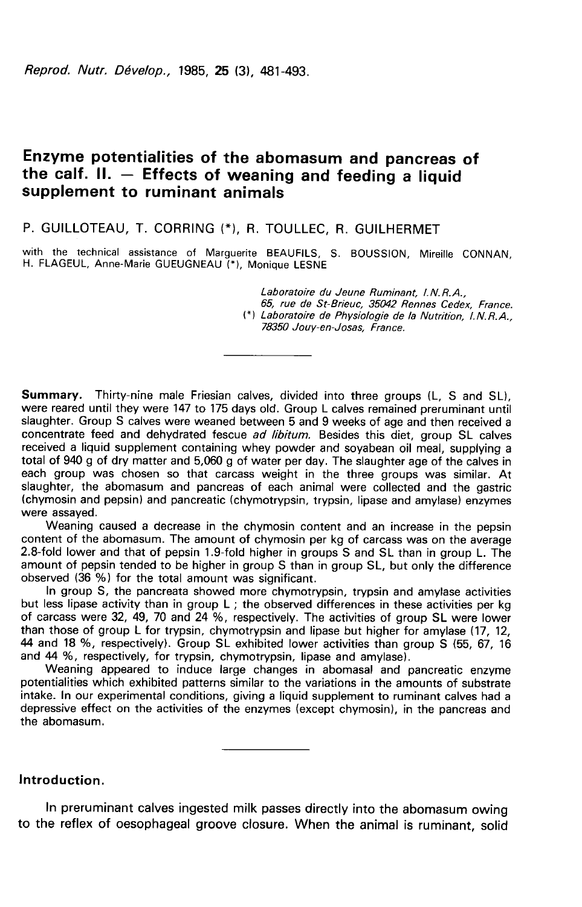Reprod. Nutr. Dévelop., 1985. 25 (3). 481-493.

# Enzyme potentialities of the abomasum and pancreas of the calf. II. — Effects of weaning and feeding a liquid supplement to ruminant animals

## P. GUILLOTEAU, T. CORRING (\*), R. TOULLEC, R. GUILHERMET

with the technical assistance of Marguerite BEAUFILS, S. BOUSSION, Mireille CONNAN,<br>H. FLAGEUL, Anne-Marie GUEUGNEAU (\*). Monique LESNE

Laboratoire du Jeune Ruminant, I.N.R.A.,

65, rue de St-Brieuc, 35042 Rennes Cedex, France. (\*) Laboratoire de Physiologie de la Nutrition, I.N.R.A., 78350 Jouy-en-Josas, France.

Summary. Thirty-nine male Friesian calves, divided into three groups (L, S and SL), were reared until they were 147 to 175 days old. Group L calves remained preruminant until slaughter. Group S calves were weaned between 5 and 9 weeks of age and then received a concentrate feed and dehydrated fescue ad libitum. Besides this diet, group SL calves received a liquid supplement containing whey powder and soyabean oil meal, supplying a total of 940 g of dry matter and 5,060 g of water per day. The slaughter age of the calves in each group was chosen so that carcass weight in the three groups was similar. At<br>slaughter, the abomasum and pancreas of each animal were collected and the gastric (chymosin and pepsin) and pancreatic (chymotrypsin, trypsin, lipase and amylase) enzymes<br>were assayed.<br>Weaning caused a decrease in the chymosin content and an increase in the pepsin

content of the abomasum. The amount of chymosin per kg of carcass was on the average 2.8-fold lower and that of pepsin 1.9-fold higher in groups S and SL than in group L. The amount of pepsin tended to be higher in group S than in group SL, but only the difference observed (36 %) for the total amount was significant.

In group S, the pancreata showed more chymotrypsin, trypsin and amylase activities but less lipase activity than in group L ; the observed differences in these activities per kg of carcass were 32, 49, 70 and 24 %, respectively. The activities of group SL were lower than those of group L for trypsin, chymotrypsin and lipase but higher for amylase (17, 12, 44 and 18 %, respectively). Group SL exhibited lower activities than group S (55, 67, 16 and 44 %, respectively, for trypsin, chymotrypsin, lipase and amylase).

Weaning appeared to induce large changes in abomasal and pancreatic enzyme potentialities which exhibited patterns similar to the variations in the amounts of substrate intake. In our experimental conditions, giving a liquid supplement to ruminant calves had a depressive effect on the activities of the enzymes (except chymosin), in the pancreas and the abomasum.

Introduction.

In preruminant calves ingested milk passes directly into the abomasum owing to the reflex of oesophageal groove closure. When the animal is ruminant, solid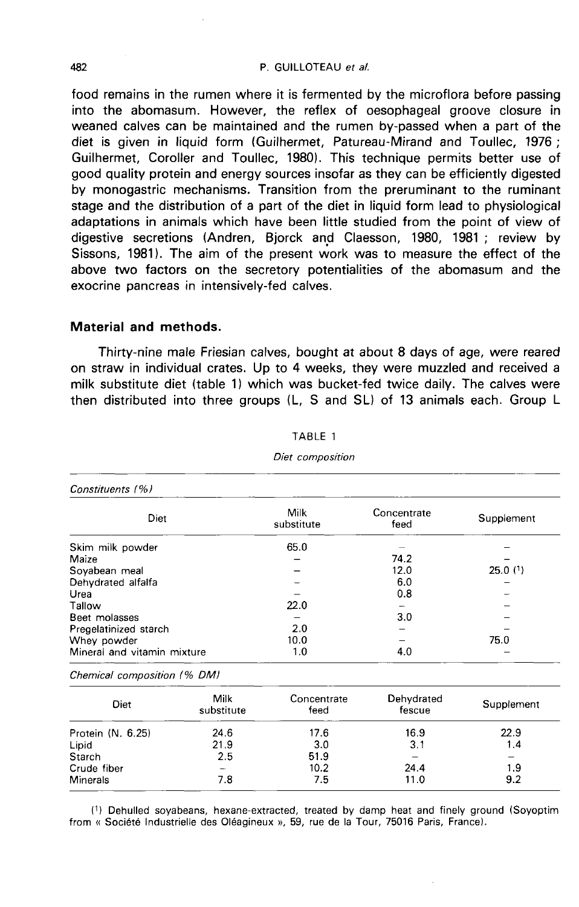#### P. GUILLOTEAU et al.

food remains in the rumen where it is fermented by the microflora before passing into the abomasum. However, the reflex of oesophageal groove closure in weaned calves can be maintained and the rumen by-passed when a part of the diet is given in liquid form (Guilhermet, Patureau-Mirand and Toullec, 1976 ; Guilhermet, Coroller and Toullec, 1980). This technique permits better use of good quality protein and energy sources insofar as they can be efficiently digested by monogastric mechanisms. Transition from the preruminant to the ruminant stage and the distribution of a part of the diet in liquid form lead to physiological adaptations in animals which have been little studied from the point of view of digestive secretions (Andren, Bjorck and Claesson, 1980, 1981 ; review by Sissons, 1981). The aim of the present work was to measure the effect of the above two factors on the secretory potentialities of the abomasum and the exocrine pancreas in intensively-fed calves.

### Material and methods.

Thirty-nine male Friesian calves, bought at about 8 days of age, were reared on straw in individual crates. Up to 4 weeks, they were muzzled and received a milk substitute diet (table 1) which was bucket-fed twice daily. The calves were then distributed into three groups (L, S and SL) of 13 animals each. Group L

| Constituents (%)            |                           |                     |            |
|-----------------------------|---------------------------|---------------------|------------|
| Diet                        | <b>Milk</b><br>substitute | Concentrate<br>feed | Supplement |
| Skim milk powder            | 65.0                      |                     |            |
| Maize                       |                           | 74.2                |            |
| Sovabean meal               |                           | 12.0                | $25.0$ (1) |
| Dehydrated alfalfa          |                           | 6.0                 |            |
| Urea                        |                           | 0.8                 |            |
| Tallow                      | 22.0                      |                     |            |
| Beet molasses               |                           | 3.0                 |            |
| Pregelatinized starch       | 2.0                       |                     |            |
| Whey powder                 | 10.0                      |                     | 75.0       |
| Mineral and vitamin mixture | 1.0                       | 4.0                 |            |

## TABLE 1

Diet composition

Chemical composition (% DM)

| Diet              | Milk<br>substitute | Concentrate<br>feed | Dehydrated<br>fescue | Supplement |
|-------------------|--------------------|---------------------|----------------------|------------|
| Protein (N. 6.25) | 24 6               | 17.6                | 16.9                 | 22.9       |
|                   | 21.9               | 3.0                 | 3.1                  | 1.4        |
| Lipid<br>Starch   | 2.5                | 51.9                |                      | -          |
| Crude fiber       |                    | 10.2                | 24.4                 | 1.9        |
| Minerals          | 7.8                | 7.5                 | 11.0                 | 9.2        |

(1) Dehulled soyabeans, hexane-extracted, treated by damp heat and finely ground (Soyoptim from « Société Industrielle des Oléagineux », 59, rue de la Tour, 75016 Paris, France).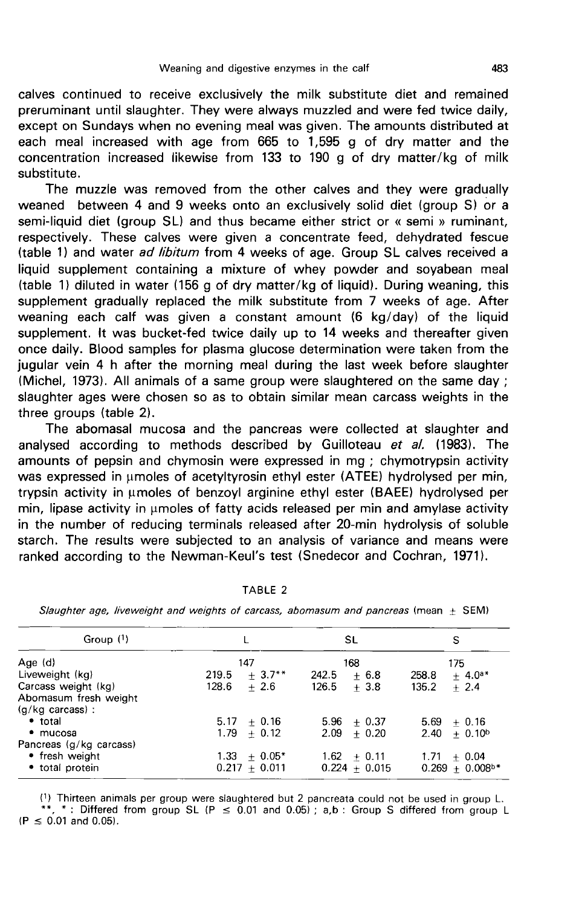calves continued to receive exclusively the milk substitute diet and remained preruminant until slaughter. They were always muzzled and were fed twice daily, except on Sundays when no evening meal was given. The amounts distributed at each meal increased with age from 665 to 1,595 g of dry matter and the concentration increased likewise from 133 to 190 g of dry matter/kg of milk substitute.

The muzzle was removed from the other calves and they were gradually weaned between 4 and 9 weeks onto an exclusively solid diet (group S) or a semi-liquid diet (group SL) and thus became either strict or « semi » ruminant, respectively. These calves were given a concentrate feed, dehydrated fescue (table 1) and water ad libitum from 4 weeks of age. Group SL calves received a liquid supplement containing a mixture of whey powder and soyabean meal (table 1) diluted in water (156 g of dry matter/kg of liquid). During weaning, this supplement gradually replaced the milk substitute from 7 weeks of age. After weaning each calf was given a constant amount (6 kg/day) of the liquid supplement. It was bucket-fed twice daily up to 14 weeks and thereafter given once daily. Blood samples for plasma glucose determination were taken from the jugular vein 4 h after the morning meal during the last week before slaughter (Michel, 1973). All animals of a same group were slaughtered on the same day ; slaughter ages were chosen so as to obtain similar mean carcass weights in the three groups (table 2).

The abomasal mucosa and the pancreas were collected at slaughter and analysed according to methods described by Guilloteau et al. (1983). The amounts of pepsin and chymosin were expressed in mg ; chymotrypsin activity was expressed in umoles of acetyltyrosin ethyl ester (ATEE) hydrolysed per min, trypsin activity in pmoles of benzoyl arginine ethyl ester (BAEE) hydrolysed per  $min$ , lipase activity in  $\mu$ moles of fatty acids released per min and amylase activity in the number of reducing terminals released after 20-min hydrolysis of soluble starch. The results were subjected to an analysis of variance and means were ranked according to the Newman-Keul's test (Snedecor and Cochran, 1971).

| Group $(1)$                |                   | SL              | S                             |
|----------------------------|-------------------|-----------------|-------------------------------|
| Age $(d)$                  | 147               | 168             | 175                           |
| Liveweight (kg)            | $+3.7**$<br>219.5 | 242.5<br>$+6.8$ | 258.8<br>$+ 4.0^{a*}$         |
| Carcass weight (kg)        | 128.6<br>$+2.6$   | $126.5 + 3.8$   | 135.2<br>$+2.4$               |
| Abomasum fresh weight      |                   |                 |                               |
| $(g/kg \text{ carcass})$ : |                   |                 |                               |
| • total                    | $5.17 + 0.16$     | $5.96 + 0.37$   | $5.69 + 0.16$                 |
| • mucosa                   | $1.79 + 0.12$     | $2.09 + 0.20$   | $2.40 + 0.10b$                |
| Pancreas (g/kg carcass)    |                   |                 |                               |
| • fresh weight             | $1.33 + 0.05*$    | $1.62 + 0.11$   | $1.71 + 0.04$                 |
| • total protein            | $0.217 + 0.011$   | $0.224 + 0.015$ | $0.269 + 0.008$ <sup>b*</sup> |

TABLE 2

Slaughter age, liveweight and weights of carcass, abomasum and pancreas (mean  $\pm$  SEM)

(1) Thirteen animals per group were slaughtered but 2 pancreata could not be used in group L. \*\*, \*: Differed from group SL (P  $\leq$  0.01 and 0.05); a,b: Group S differed from group L  $(P \le 0.01$  and 0.05).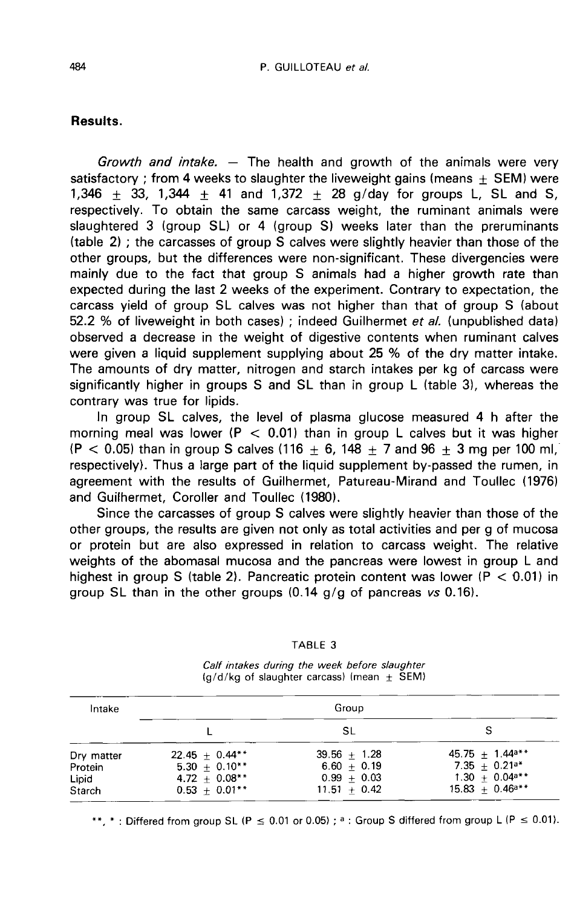## Results.

Growth and intake.  $-$  The health and growth of the animals were very satisfactory : from 4 weeks to slaughter the liveweight gains (means  $+$  SEM) were 1,346  $\pm$  33, 1,344  $\pm$  41 and 1,372  $\pm$  28 g/day for groups L, SL and S, respectively. To obtain the same carcass weight, the ruminant animals were slaughtered 3 (group SL) or 4 (group S) weeks later than the preruminants (table 2) ; the carcasses of group S calves were slightly heavier than those of the other groups, but the differences were non-significant. These divergencies were mainly due to the fact that group S animals had a higher growth rate than expected during the last 2 weeks of the experiment. Contrary to expectation, the carcass yield of group SL calves was not higher than that of group S (about 52.2 % of liveweight in both cases) ; indeed Guilhermet et al. (unpublished data) observed a decrease in the weight of digestive contents when ruminant calves were given a liquid supplement supplying about 25 % of the dry matter intake. The amounts of dry matter, nitrogen and starch intakes per kg of carcass were significantly higher in groups S and SL than in group L (table 3), whereas the contrary was true for lipids.

In group SL calves, the level of plasma glucose measured 4 h after the morning meal was lower ( $P < 0.01$ ) than in group L calves but it was higher  $(P < 0.05)$  than in group S calves (116  $\pm$  6, 148  $\pm$  7 and 96  $\pm$  3 mg per 100 ml, respectively). Thus a large part of the liquid supplement by-passed the rumen, in agreement with the results of Guilhermet, Patureau-Mirand and Toullec (1976) and Guilhermet, Coroller and Toullec (1980).

Since the carcasses of group S calves were slightly heavier than those of the other groups, the results are given not only as total activities and per g of mucosa or protein but are also expressed in relation to carcass weight. The relative weights of the abomasal mucosa and the pancreas were lowest in group L and highest in group S (table 2). Pancreatic protein content was lower ( $P < 0.01$ ) in group SL than in the other groups  $(0.14 \text{ g/g of parcreas } v_s \, 0.16)$ .

|  | TABLE |  |
|--|-------|--|
|--|-------|--|

Calf intakes during the week before slaughter  $(q/d/kg$  of slaughter carcass) (mean  $\pm$  SEM)

| Intake     | Group            |                |                      |
|------------|------------------|----------------|----------------------|
|            |                  | SL             | s                    |
| Dry matter | $22.45 + 0.44**$ | $39.56 + 1.28$ | $45.75 + 1.44a***$   |
| Protein    | $5.30 + 0.10**$  | $6.60 + 0.19$  | $7.35 + 0.21a*$      |
| Lipid      | $4.72 + 0.08**$  | $0.99 + 0.03$  | $1.30 + 0.04$ a**    |
| Starch     | $0.53 + 0.01**$  | $11.51 + 0.42$ | $15.83 + 0.46^{a**}$ |

\*\*, \*: Differed from group SL (P  $\leq$  0.01 or 0.05); a: Group S differed from group L (P  $\leq$  0.01).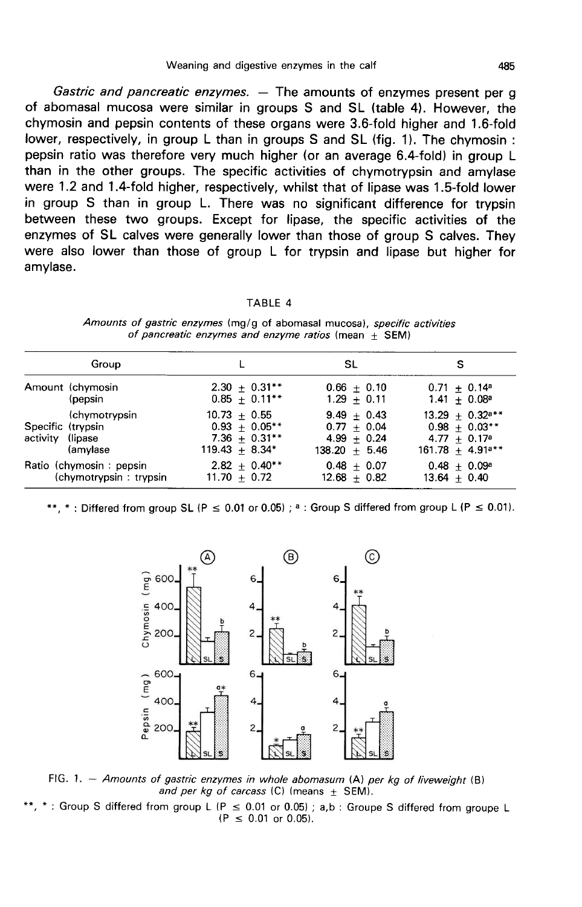Gastric and pancreatic enzymes. - The amounts of enzymes present per g of abomasal mucosa were similar in groups S and SL (table 4). However, the chymosin and pepsin contents of these organs were 3.6-fold higher and 1.6-fold lower, respectively, in group L than in groups S and SL (fig. 1). The chymosin: pepsin ratio was therefore very much higher (or an average 6.4-fold) in group L than in the other groups. The specific activities of chymotrypsin and amylase were 1.2 and 1.4-fold higher, respectively, whilst that of lipase was 1.5-fold lower in group S than in group L. There was no significant difference for trypsin between these two groups. Except for lipase, the specific activities of the enzymes of SL calves were generally lower than those of group S calves. They were also lower than those of group L for trypsin and lipase but higher for amylase.

#### TABLE 4

Amounts of gastric enzymes (mg/g of abomasal mucosa), specific activities of pancreatic enzymes and enzyme ratios (mean  $\pm$  SEM)

| Group                   |                  | <b>SL</b>        | s                             |
|-------------------------|------------------|------------------|-------------------------------|
| Amount (chymosin        | $2.30 + 0.31**$  | $0.66 + 0.10$    | $0.71 + 0.14^a$               |
| (pepsin                 | $0.85 + 0.11**$  | $1.29 + 0.11$    | $1.41 + 0.08^a$               |
| (chymotrypsin           | $10.73 + 0.55$   | $9.49 + 0.43$    | $13.29 + 0.32$ <sup>a**</sup> |
| Specific (trypsin       | $0.93 + 0.05**$  | $0.77 + 0.04$    | $0.98 + 0.03**$               |
| activity (lipase        | $7.36 + 0.31**$  | $4.99 + 0.24$    | $4.77 + 0.17a$                |
| (amylase                | $119.43 + 8.34*$ | $138.20 + 5.46$  | $161.78 + 4.91***$            |
| Ratio (chymosin: pepsin | $2.82 + 0.40**$  | $0.48 + 0.07$    | $0.48 + 0.09a$                |
| (chymotrypsin: trypsin  | $11.70 + 0.72$   | $12.68 \pm 0.82$ | $13.64 + 0.40$                |

\*: Differed from group SL (P  $\leq$  0.01 or 0.05); <sup>a</sup>: Group S differed from group L (P  $\leq$  0.01).



FIG. 1. - Amounts of gastric enzymes in whole abomasum  $(A)$  per kg of liveweight  $(B)$ and per kg of carcass (C) (means  $\pm$  SEM).

\*: Group S differed from group L (P  $\leq$  0.01 or 0.05); a,b: Groupe S differed from groupe L  $(P \le 0.01$  or 0.05).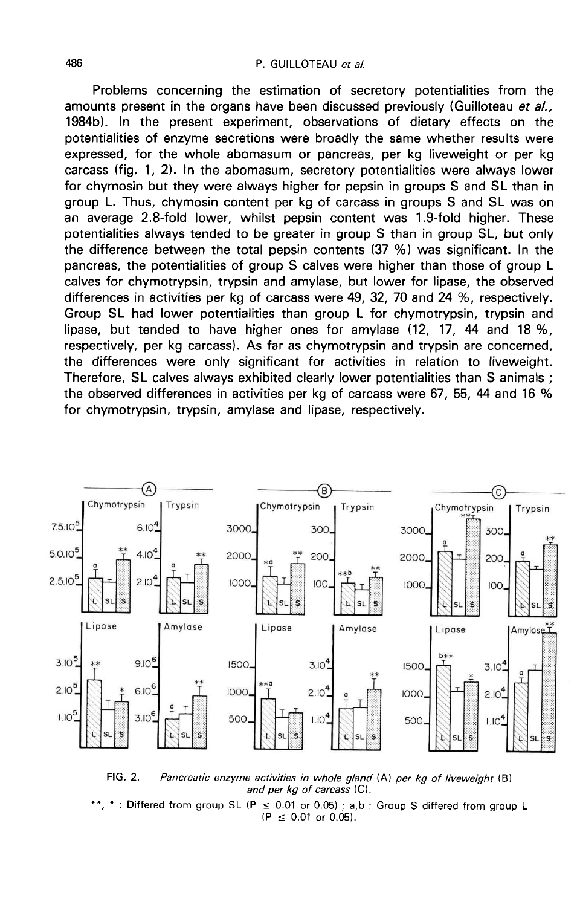Problems concerning the estimation of secretory potentialities from the amounts present in the organs have been discussed previously (Guilloteau et al., 1984b). In the present experiment, observations of dietary effects on the potentialities of enzyme secretions were broadly the same whether results were expressed, for the whole abomasum or pancreas, per kg liveweight or per kg carcass (fig. 1, 2). In the abomasum, secretory potentialities were always lower for chymosin but they were always higher for pepsin in groups S and SL than in group L. Thus, chymosin content per kg of carcass in groups S and SL was on an average 2.8-fold lower, whilst pepsin content was 1.9-fold higher. These potentialities always tended to be greater in group S than in group SL, but only the difference between the total pepsin contents (37 %) was significant. In the pancreas, the potentialities of group S calves were higher than those of group L calves for chymotrypsin, trypsin and amylase, but lower for lipase, the observed differences in activities per kg of carcass were 49, 32, 70 and 24 %, respectively. Group SL had lower potentialities than group L for chymotrypsin, trypsin and lipase, but tended to have higher ones for amylase (12, 17, 44 and 18 %, respectively, per kg carcass). As far as chymotrypsin and trypsin are concerned, the differences were only significant for activities in relation to liveweight. Therefore. SL calves always exhibited clearly lower potentialities than S animals : the observed differences in activities per kg of carcass were 67, 55, 44 and 16 % for chymotrypsin, trypsin, amylase and lipase, respectively.



FIG. 2. - Pancreatic enzyme activities in whole gland  $(A)$  per kg of liveweight  $(B)$ and per kg of carcass (C).

\*: Differed from group SL (P  $\leq$  0.01 or 0.05) : a.b : Group S differed from group L  $(P \le 0.01$  or 0.05).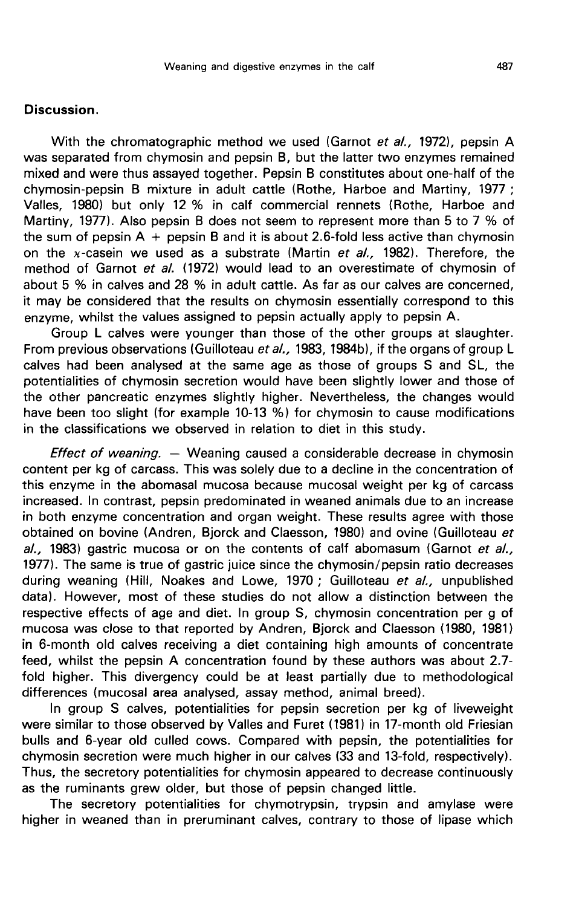## Discussion.

With the chromatographic method we used (Garnot et al., 1972), pepsin A was separated from chymosin and pepsin B, but the latter two enzymes remained mixed and were thus assayed together. Pepsin B constitutes about one-half of the chymosin-pepsin B mixture in adult cattle (Rothe, Harboe and Martiny, 1977 ; Valles, 1980) but only 12 % in calf commercial rennets (Rothe, Harboe and Martiny, 1977). Also pepsin B does not seem to represent more than 5 to 7 % of the sum of pepsin  $A + p$ epsin B and it is about 2.6-fold less active than chymosin on the x-casein we used as a substrate (Martin et al., 1982). Therefore, the method of Garnot et al. (1972) would lead to an overestimate of chymosin of about 5 % in calves and 28 % in adult cattle. As far as our calves are concerned, it may be considered that the results on chymosin essentially correspond to this enzyme, whilst the values assigned to pepsin actually apply to pepsin A.

Group L calves were younger than those of the other groups at slaughter. From previous observations (Guilloteau et al., 1983, 1984b), if the organs of group L calves had been analysed at the same age as those of groups S and SL, the potentialities of chymosin secretion would have been slightly lower and those of the other pancreatic enzymes slightly higher. Nevertheless, the changes would have been too slight (for example 10-13 %) for chymosin to cause modifications in the classifications we observed in relation to diet in this study.

*Effect of weaning.*  $-$  Weaning caused a considerable decrease in chymosin content per kg of carcass. This was solely due to a decline in the concentration of this enzyme in the abomasal mucosa because mucosal weight per kg of carcass increased. In contrast, pepsin predominated in weaned animals due to an increase in both enzyme concentration and organ weight. These results agree with those obtained on bovine (Andren, Bjorck and Claesson, 1980) and ovine (Guilloteau et  $a/$ , 1983) gastric mucosa or on the contents of calf abomasum (Garnot et  $a/$ , 1977). The same is true of gastric juice since the chymosin/pepsin ratio decreases during weaning (Hill, Noakes and Lowe, 1970; Guilloteau et al., unpublished data). However, most of these studies do not allow a distinction between the respective effects of age and diet. In group S, chymosin concentration per g of mucosa was close to that reported by Andren, Bjorck and Claesson (1980, 1981) in 6-month old calves receiving a diet containing high amounts of concentrate feed, whilst the pepsin A concentration found by these authors was about 2.7 fold higher. This divergency could be at least partially due to methodological differences (mucosal area analysed, assay method, animal breed).

In group S calves, potentialities for pepsin secretion per kg of liveweight were similar to those observed by Valles and Furet (1981) in 17-month old Friesian bulls and 6-year old culled cows. Compared with pepsin, the potentialities for chymosin secretion were much higher in our calves (33 and 13-fold, respectively). Thus, the secretory potentialities for chymosin appeared to decrease continuously as the ruminants grew older, but those of pepsin changed little.

The secretory potentialities for chymotrypsin, trypsin and amylase were higher in weaned than in preruminant calves, contrary to those of lipase which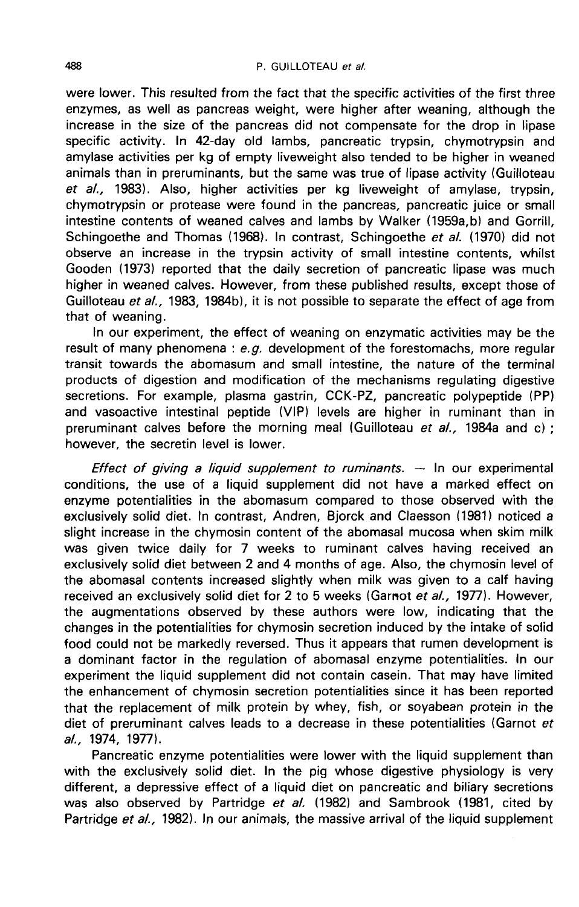were lower. This resulted from the fact that the specific activities of the first three enzymes, as well as pancreas weight, were higher after weaning, although the increase in the size of the pancreas did not compensate for the drop in lipase specific activity. In 42-day old lambs, pancreatic trypsin, chymotrypsin and amylase activities per kg of empty liveweight also tended to be higher in weaned animals than in preruminants, but the same was true of lipase activity (Guilloteau et al., 1983). Also, higher activities per kg liveweight of amylase, trypsin, chymotrypsin or protease were found in the pancreas, pancreatic juice or small intestine contents of weaned calves and lambs by Walker (1959a,b) and Gorrill, Schingoethe and Thomas (1968). In contrast, Schingoethe et al. (1970) did not observe an increase in the trypsin activity of small intestine contents, whilst Gooden (1973) reported that the daily secretion of pancreatic lipase was much higher in weaned calves. However, from these published results, except those of Guilloteau et al., 1983, 1984b), it is not possible to separate the effect of age from that of weaning.

In our experiment, the effect of weaning on enzymatic activities may be the result of many phenomena :  $e.g.$  development of the forestomachs, more regular transit towards the abomasum and small intestine, the nature of the terminal products of digestion and modification of the mechanisms regulating digestive secretions. For example, plasma gastrin, CCK-PZ, pancreatic polypeptide (PP) and vasoactive intestinal peptide (VIP) levels are higher in ruminant than in preruminant calves before the morning meal (Guilloteau et al., 1984a and c) ; however, the secretin level is lower.

*Effect of giving a liquid supplement to ruminants.*  $-$  In our experimental conditions, the use of a liquid supplement did not have a marked effect on enzyme potentialities in the abomasum compared to those observed with the exclusively solid diet. In contrast, Andren, Bjorck and Claesson (1981) noticed a slight increase in the chymosin content of the abomasal mucosa when skim milk was given twice daily for 7 weeks to ruminant calves having received an exclusively solid diet between 2 and 4 months of age. Also, the chymosin level of the abomasal contents increased slightly when milk was given to a calf having received an exclusively solid diet for 2 to 5 weeks (Garnot et al., 1977). However, the augmentations observed by these authors were low, indicating that the changes in the potentialities for chymosin secretion induced by the intake of solid food could not be markedly reversed. Thus it appears that rumen development is a dominant factor in the regulation of abomasal enzyme potentialities. In our experiment the liquid supplement did not contain casein. That may have limited the enhancement of chymosin secretion potentialities since it has been reported that the replacement of milk protein by whey, fish, or soyabean protein in the diet of preruminant calves leads to a decrease in these potentialities (Garnot et a/., 1974, 1977).

Pancreatic enzyme potentialities were lower with the liquid supplement than with the exclusively solid diet. In the pig whose digestive physiology is very different, a depressive effect of a liquid diet on pancreatic and biliary secretions was also observed by Partridge et al. (1982) and Sambrook (1981, cited by Partridge et al., 1982). In our animals, the massive arrival of the liquid supplement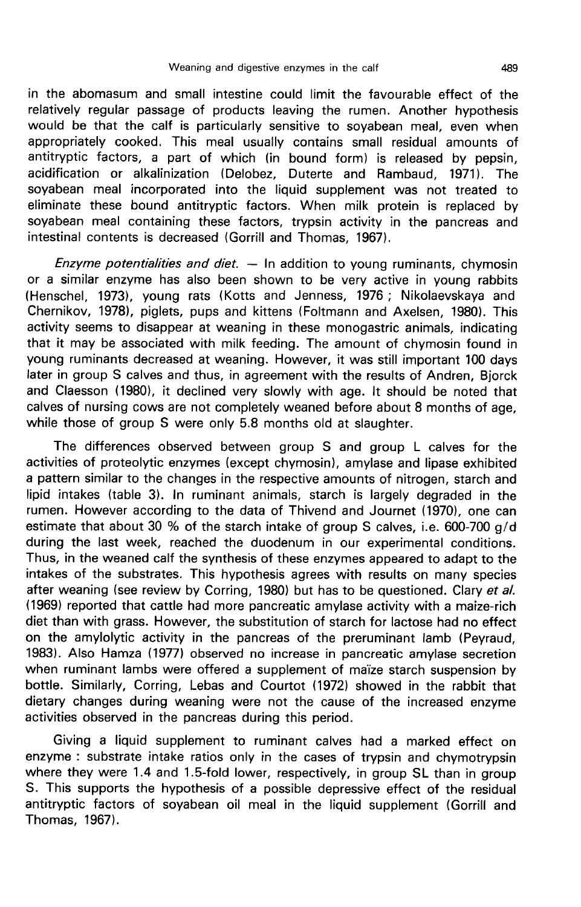in the abomasum and small intestine could limit the favourable effect of the relatively regular passage of products leaving the rumen. Another hypothesis would be that the calf is particularly sensitive to soyabean meal, even when appropriately cooked. This meal usually contains small residual amounts of antitryptic factors, a part of which (in bound form) is released by pepsin, acidification or alkalinization (Delobez, Duterte and Rambaud, 1971). The soyabean meal incorporated into the liquid supplement was not treated to eliminate these bound antitryptic factors. When milk protein is replaced by soyabean meal containing these factors, trypsin activity in the pancreas and intestinal contents is decreased (Gorrill and Thomas, 1967).

Enzyme potentialities and diet.  $-$  In addition to young ruminants, chymosin or a similar enzyme has also been shown to be very active in young rabbits (Henschel, 1973), young rats (Kotts and Jenness, 1976 ; Nikolaevskaya and Chernikov, 1978), piglets, pups and kittens (Foltmann and Axelsen, 1980). This activity seems to disappear at weaning in these monogastric animals, indicating that it may be associated with milk feeding. The amount of chymosin found in young ruminants decreased at weaning. However, it was still important 100 days later in group S calves and thus, in agreement with the results of Andren, Bjorck and Claesson (1980), it declined very slowly with age. It should be noted that calves of nursing cows are not completely weaned before about 8 months of age, while those of group S were only 5.8 months old at slaughter.

The differences observed between group S and group L calves for the activities of proteolytic enzymes (except chymosin), amylase and lipase exhibited a pattern similar to the changes in the respective amounts of nitrogen, starch and lipid intakes (table 3). In ruminant animals, starch is largely degraded in the rumen. However according to the data of Thivend and Journet (1970), one can estimate that about 30 % of the starch intake of group S calves, i.e. 600-700 g/d during the last week, reached the duodenum in our experimental conditions. Thus, in the weaned calf the synthesis of these enzymes appeared to adapt to the intakes of the substrates. This hypothesis agrees with results on many species after weaning (see review by Corring, 1980) but has to be questioned. Clary et al. (1969) reported that cattle had more pancreatic amylase activity with a maize-rich diet than with grass. However, the substitution of starch for lactose had no effect on the amylolytic activity in the pancreas of the preruminant lamb (Peyraud, 1983). Also Hamza (1977) observed no increase in pancreatic amylase secretion when ruminant lambs were offered a supplement of maize starch suspension by bottle. Similarly, Corring, Lebas and Courtot (1972) showed in the rabbit that dietary changes during weaning were not the cause of the increased enzyme activities observed in the pancreas during this period.

Giving a liquid supplement to ruminant calves had a marked effect on enzyme : substrate intake ratios only in the cases of trypsin and chymotrypsin where they were 1.4 and 1.5-fold lower, respectively, in group SL than in group S. This supports the hypothesis of a possible depressive effect of the residual antitryptic factors of soyabean oil meal in the liquid supplement (Gorrill and Thomas, 1967).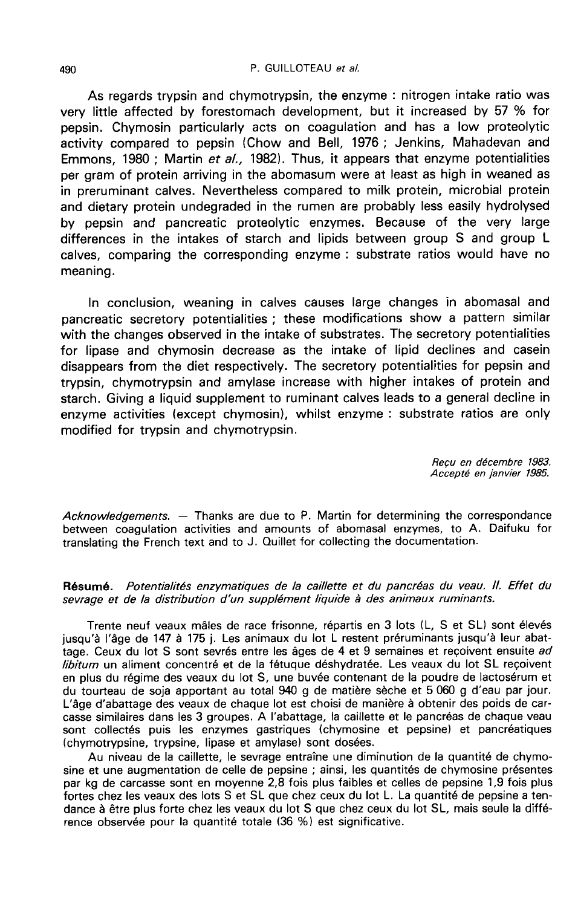#### P. GUILLOTEAU et al.

As regards trypsin and chymotrypsin, the enzyme : nitrogen intake ratio was very little affected by forestomach development, but it increased by 57 % for pepsin. Chymosin particularly acts on coagulation and has a low proteolytic activity compared to pepsin (Chow and Bell, 1976 ; Jenkins, Mahadevan and Emmons, 1980 ; Martin et al., 1982). Thus, it appears that enzyme potentialities per gram of protein arriving in the abomasum were at least as high in weaned as in preruminant calves. Nevertheless compared to milk protein, microbial protein and dietary protein undegraded in the rumen are probably less easily hydrolysed by pepsin and pancreatic proteolytic enzymes. Because of the very large differences in the intakes of starch and lipids between group S and group L calves, comparing the corresponding enzyme : substrate ratios would have no meaning.

In conclusion, weaning in calves causes large changes in abomasal and pancreatic secretory potentialities ; these modifications show a pattern similar with the changes observed in the intake of substrates. The secretory potentialities for lipase and chymosin decrease as the intake of lipid declines and casein disappears from the diet respectively. The secretory potentialities for pepsin and trypsin, chymotrypsin and amylase increase with higher intakes of protein and starch. Giving a liquid supplement to ruminant calves leads to a general decline in enzyme activities (except chymosin), whilst enzyme : substrate ratios are only modified for trypsin and chymotrypsin.

> Reçu en décembre 1983. Accepte en janvier 1985.

Acknowledgements. — Thanks are due to P. Martin for determining the correspondance between coagulation activities and amounts of abomasal enzymes, to A. Daifuku for translating the French text and to J. Quillet for collecting the documentation.

## Résumé. Potentialités enzymatiques de la caillette et du pancréas du veau. Il. Effet du sevrage et de la distribution d'un supplément liquide à des animaux ruminants.

Trente neuf veaux mâles de race frisonne, répartis en 3 lots (L, S et SL) sont élevés jusqu'à l'âge de 147 à 175 j. Les animaux du lot L restent préruminants jusqu'à leur abattage. Ceux du lot S sont sevrés entre les âges de 4 et 9 semaines et recoivent ensuite ad libitum un aliment concentré et de la fétuque déshydratée. Les veaux du lot SL reçoivent en plus du régime des veaux du lot S, une buvée contenant de la poudre de lactosérum et du tourteau de soja apportant au total 940 g de matière sèche et 5 060 g d'eau par jour. L'âge d'abattage des veaux de chaque lot est choisi de manière à obtenir des poids de carcasse similaires dans les 3 groupes. A l'abattage, la caillette et le pancréas de chaque veau sont collectés puis les enzymes gastriques (chymosine et pepsine) et pancréatiques (chymotrypsine, trypsine, lipase et amylase) sont dosées.

Au niveau de la caillette, le sevrage entraîne une diminution de la quantité de chymosine et une augmentation de celle de pepsine ; ainsi, les quantités de chymosine présentes par kg de carcasse sont en moyenne 2,8 fois plus faibles et celles de pepsine 1,9 fois plus fortes chez les veaux des lots S et SL que chez ceux du lot L. La quantité de pepsine a tendance à être plus forte chez les veaux du lot S que chez ceux du lot SL, mais seule la différence observée pour la quantité totale (36 %) est significative.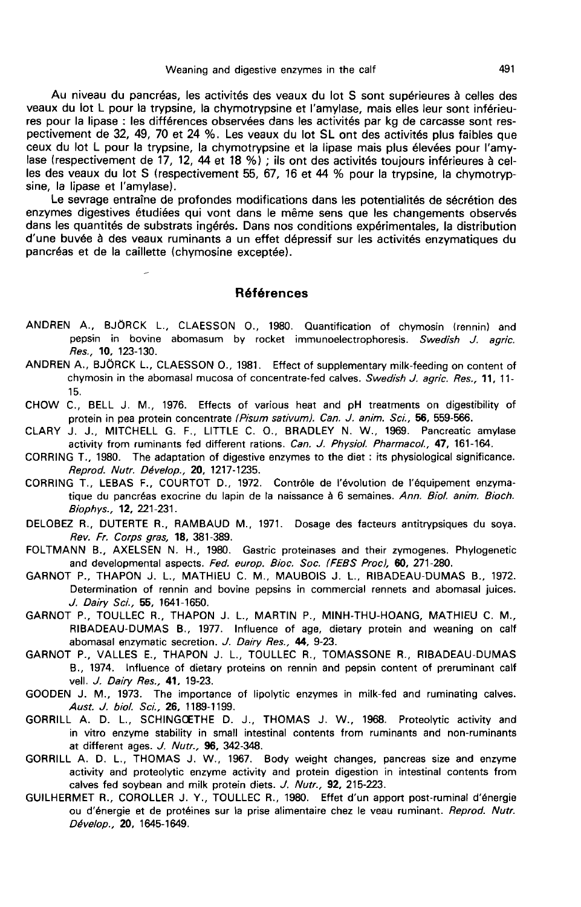Au niveau du pancréas, les activités des veaux du lot S sont supérieures à celles des veaux du lot L pour la trypsine, la chymotrypsine et l'amylase, mais elles leur sont inférieures pour la lipase : les différences observées dans les activités par kg de carcasse sont res-<br>pectivement de 32, 49, 70 et 24 %. Les veaux du lot SL ont des activités plus faibles que ceux du lot L pour la trypsine, la chymotrypsine et la lipase mais plus élevées pour l'amylase (respectivement de 17, 12, 44 et 18 %) ; ils ont des activités toujours inférieures à celles des veaux du lot S (respectivement 55, 67, 16 et 44 % pour la trypsine, la chymotrypsine, la lipase et l'amylase).

Le sevrage entraîne de profondes modifications dans les potentialités de sécrétion des enzymes digestives étudiées qui vont dans le même sens que les changements observés dans les quantités de substrats ingérés. Dans nos conditions expérimentales, la distribution d'une buvée à des veaux ruminants a un effet dépressif sur les activités enzymatiques du pancréas et de la caillette (chymosine exceptée).

## **Références**

- ANDREN A., BJÖRCK L., CLAESSON O., 1980. Quantification of chymosin (rennin) and pepsin in bovine abomasum by rocket immunoelectrophoresis. Swedish J. agric. Res., 10, 123-130.
- ANDREN A., BJORCK L., CLAESSON 0., 1981. Effect of supplementary milk-feeding on content of chymosin in the abomasal mucosa of concentrate-fed calves. Swedish J. agric. Res., 11, 11-15.
- CHOW C., BELL J. M., 1976. Effects of various heat and pH treatments on digestibility of protein in pea protein concentrate (Pisum sativum). Can. J. anim. Sci., 56, 559-566.
- CLARY J. J., MITCHELL G. F., LITTLE C. O., BRADLEY N. W., 1969. Pancreatic amylase activity from ruminants fed different rations. Can. J. Physiol. Pharmacol., 47, 161-164.
- CORRING T., 1980. The adaptation of digestive enzymes to the diet : its physiological significance. Reprod. Nutr. D6velop., 20, 1217-1235.
- CORRING T., LEBAS F., COURTOT D., 1972. Contrôle de l'évolution de l'équipement enzymatique du pancréas exocrine du lapin de la naissance à 6 semaines. Ann. Biol. anim. Bioch. Biophys., 12, 221-231.
- DELOBEZ R., DUTERTE R., RAMBAUD M., 1971. Dosage des facteurs antitrypsiques du soya. Rev. Fr. Corps gras, 18, 381-389.
- FOLTMANN B., AXELSEN N. H., 1980. Gastric proteinases and their zymogenes. Phylogenetic and developmental aspects. Fed. europ. Bioc. Soc. (FEBS Proc), 60, 271-280.
- GARNOT P., THAPON J. L., MATHIEU C. M., MAUBOIS J. L., RIBADEAU-DUMAS B., 1972. Determination of rennin and bovine pepsins in commercial rennets and abomasal juices. J. Dairy Sci., 55, 1641-1650.
- GARNOT P., TOULLEC R., THAPON J. L., MARTIN P., MINH-THU-HOANG, MATHIEU C. M., RIBADEAU-DUMAS B., 1977. Influence of age, dietary protein and weaning on calf abomasal enzymatic secretion. J. Dairy Res., 44, 9-23.
- GARNOT P., VALLES E., THAPON J. L., TOULLEC R., TOMASSONE R., RIBADEAU-DUMAS B., 1974. Influence of dietary proteins on rennin and pepsin content of preruminant calf vell. J. Dairy Res., 41, 19-23.
- GOODEN J. M., 1973. The importance of lipolytic enzymes in milk-fed and ruminating calves. Aust. J. biol. Sci., 26, 1189-1199.
- GORRILL A. D. L., SCHINGOETHE D. J., THOMAS J. W., 1968. Proteolytic activity and in vitro enzyme stability in small intestinal contents from ruminants and non-ruminants at different ages. J. Nutr., 96, 342-348.
- GORRILL A. D. L., THOMAS J. W., 1967. Body weight changes, pancreas size and enzyme activity and proteolytic enzyme activity and protein digestion in intestinal contents from calves fed soybean and milk protein diets. *J. Nutr.,* **92**, 215-223.
- GUILHERMET R., COROLLER J. Y., TOULLEC R., 1980. Effet d'un apport post-ruminal d'énergie ou d'énergie et de protéines sur la prise alimentaire chez le veau ruminant. Reprod. Nutr.<br>Dévelop., 20, 1645-1649. activity and proteolytic<br>calves fed soybean and<br>MET R., COROLLER J.<br>ou d'énergie et de proté<br>Dévelop., **20**, 1645-1649.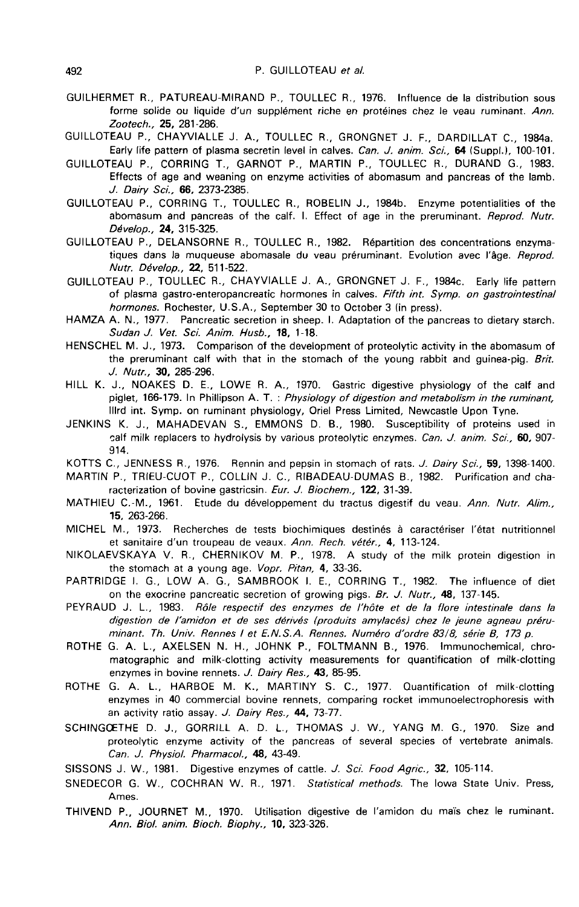- GUILHERMET R., PATUREAU-MIRAND P., TOULLEC R., 1976. Influence de la distribution sous forme solide ou liquide d'un supplément riche en protéines chez le veau ruminant. Ann. Zootech., 25, 281-286.
- GUILLOTEAU P., CHAYVIALLE J. A., TOULLEC R., GRONGNET J. F., DARDILLAT C., 1984a. Early life pattern of plasma secretin level in calves. Can. J. anim. Sci., 64 (Suppl.), 100-101.
- GUILLOTEAU P., CORRING T., GARNOT P., MARTIN P., TOULLEC R., DURAND G., 1983. Effects of age and weaning on enzyme activities of abomasum and pancreas of the lamb. J. Dairy Sci., 66, 2373-2385.
- GUILLOTEAU P., CORRING T., TOULLEC R., ROBELIN J., 1984b. Enzyme potentialities of the abomasum and pancreas of the calf. I. Effect of age in the preruminant. Reprod. Nutr. Dévelop., 24, 315-325.
- GUILLOTEAU P., DELANSORNE R., TOULLEC R., 1982. R6partition des concentrations enzymatiques dans la muqueuse abomasale du veau préruminant. Evolution avec l'âge. Reprod. Nutr. Dévelop., 22, 511-522.
- GUILLOTEAU P., TOULLEC R., CHAYVIALLE J. A., GRONGNET J. F., 1984c. Early life pattern of plasma gastro-enteropancreatic hormones in calves. Fifth int. Symp. on gastrointestinal hormones. Rochester, U.S.A., September 30 to October 3 (in press).
- HAMZA A. N., 1977. Pancreatic secretion in sheep. I. Adaptation of the pancreas to dietary starch. Sudan J. Vet. Sci. Anim. Husb., 18, 1-18.
- HENSCHEL M. J., 1973. Comparison of the development of proteolytic activity in the abomasum of the preruminant calf with that in the stomach of the young rabbit and guinea-pig. Brit. J. Nutr., 30, 285-296.
- HILL K. J., NOAKES D. E., LOWE R. A., 1970. Gastric digestive physiology of the calf and piglet, 166-179. In Phillipson A. T. : Physiology of digestion and metabolism in the ruminant, lllrd int. Symp. on ruminant physiology, Oriel Press Limited, Newcastle Upon Tyne.
- JENKINS K. J., MAHADEVAN S., EMMONS D. B., 1980. Susceptibility of proteins used in calf milk replacers to hydrolysis by various proteolytic enzymes. Can. J. anim. Sci., 60, 907-914.
- KOTTS C., JENNESS R., 1976. Rennin and pepsin in stomach of rats. J. Dairy Sci., 59, 1398-1400.
- MARTIN P., TRIEU-CUOT P., COLLIN J. C., RIBADEAU-DUMAS B., 1982. Purification and characterization of bovine gastricsin. Eur. J. Biochem., 122, 31-39.
- MATHIEU C.-M., 1961. Etude du développement du tractus digestif du veau. Ann. Nutr. Alim., 15, 263-266.
- MICHEL M., 1973. Recherches de tests biochimiques destines a caracteriser 1'6tat nutritionnel et sanitaire d'un troupeau de veaux. Ann. Rech. vétér., 4, 113-124.
- NIKOLAEVSKAYA V. R., CHERNIKOV M. P., 1978. A study of the milk protein digestion in the stomach at a young age. Vopr. Pitan, 4, 33-36.
- PARTRIDGE I. G., LOW A. G., SAMBROOK I. E., CORRING T., 1982. The influence of diet on the exocrine pancreatic secretion of growing pigs. Br. J. Nutr., 48, 137-145.
- PEYRAUD J. L., 1983. R6/e respectif des enzymes de l'h6te et de la flore intestinale dans la digestion de l'amidon et de ses dérivés (produits amylacés) chez le jeune agneau préruminant. Th. Univ. Rennes I et E.N.S.A. Rennes. Numéro d'ordre 83/8, série B, 173 p.
- ROTHE G. A. L., AXELSEN N. H., JOHNK P., FOLTMANN B., 1976. Immunochemical, chromatographic and milk-clotting activity measurements for quantification of milk-clotting enzymes in bovine rennets. J. Dairy Res., 43, 85-95.
- ROTHE G. A. L., HARBOE M. K., MARTINY S. C., 1977. Quantification of milk-clotting enzymes in 40 commercial bovine rennets, comparing rocket immunoelectrophoresis with an activity ratio assay. J. Dairy Res., 44, 73-77.
- SCHINGOETHE D. J., GORRILL A. D. L., THOMAS J. W., YANG M. G., 1970. Size and proteolytic enzyme activity of the pancreas of several species of vertebrate animals. Can. J. Physiol. Pharmacol., 48, 43-49.
- SISSONS J. W., 1981. Digestive enzymes of cattle. J. Sci. Food Agric., 32, 105-114.
- SNEDECOR G. W., COCHRAN W. R., 1971. Statistical methods. The Iowa State Univ. Press, Ames.
- THIVEND P., JOURNET M., 1970. Utilisation digestive de I'amidon du mafs chez le ruminant. Ann. Bio/. anim. Bioch. Biophy., 10, 323-326.